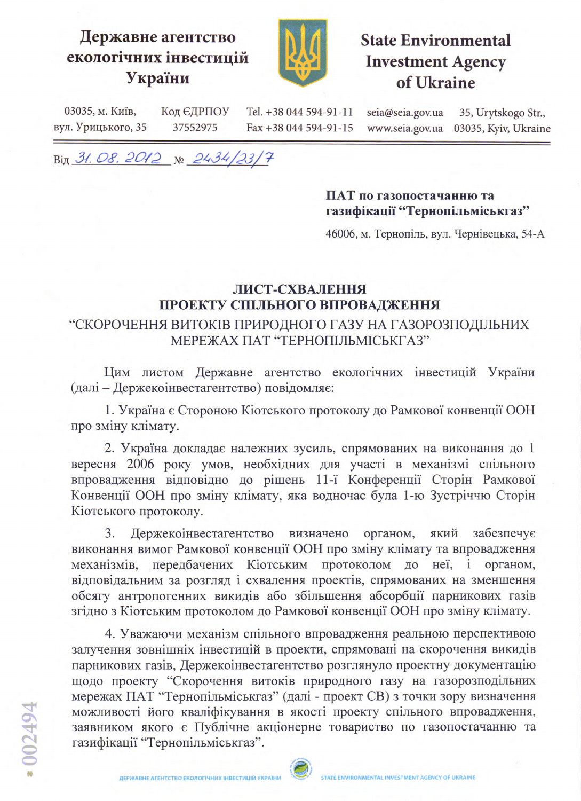## Державне агентство екологічних інвестицій України



**State Environmental Investment Agency** of Ukraine

03035, м. Київ, Код ЄДРПОУ Tel. +38 044 594-91-11 seia@seia.gov.ua 35, Urytskogo Str., вул. Урицького, 35 37552975 Fax +38 044 594-91-15 03035, Kyiv, Ukraine www.seia.gov.ua

Big 31.08.2012 No 2434/23/7

## ПАТ по газопостачанню та газифікації "Тернопільміськгаз"

46006, м. Тернопіль, вул. Чернівецька, 54-А

## ЛИСТ-СХВАЛЕННЯ ПРОЕКТУ СПІЛЬНОГО ВПРОВАДЖЕННЯ

## "СКОРОЧЕННЯ ВИТОКІВ ПРИРОДНОГО ГАЗУ НА ГАЗОРОЗПОДІЛЬНИХ МЕРЕЖАХ ПАТ "ТЕРНОПІЛЬМІСЬКГАЗ"

Цим листом Державне агентство екологічних інвестицій України (далі - Держекоінвестагентство) повідомляє:

1. Україна є Стороною Кіотського протоколу до Рамкової конвенції ООН про зміну клімату.

2. Україна докладає належних зусиль, спрямованих на виконання до 1 вересня 2006 року умов, необхідних для участі в механізмі спільного впровадження відповідно до рішень 11-ї Конференції Сторін Рамкової Конвенції ООН про зміну клімату, яка водночас була 1-ю Зустріччю Сторін Кіотського протоколу.

3. Держекоінвестагентство визначено органом, який забезпечує виконання вимог Рамкової конвенції ООН про зміну клімату та впровадження механізмів, передбачених Кіотським протоколом до неї, і органом, відповідальним за розгляд і схвалення проектів, спрямованих на зменшення обсягу антропогенних викидів або збільшення абсорбції парникових газів згідно з Кіотським протоколом до Рамкової конвенції ООН про зміну клімату.

4. Уважаючи механізм спільного впровадження реальною перспективою залучення зовнішніх інвестицій в проекти, спрямовані на скорочення викидів парникових газів, Держекоінвестагентство розглянуло проектну документацію щодо проекту "Скорочення витоків природного газу на газорозподільних мережах ПАТ "Тернопільміськгаз" (далі - проект СВ) з точки зору визначення можливості його кваліфікування в якості проекту спільного впровадження, заявником якого є Публічне акціонерне товариство по газопостачанню та газифікації "Тернопільміськгаз".

**ДЕРЖАВНЕ АГЕНТСТВО ЕКОЛОГІЧНИХ ІНВЕСТИЦІЙ УКРАЇНИ**